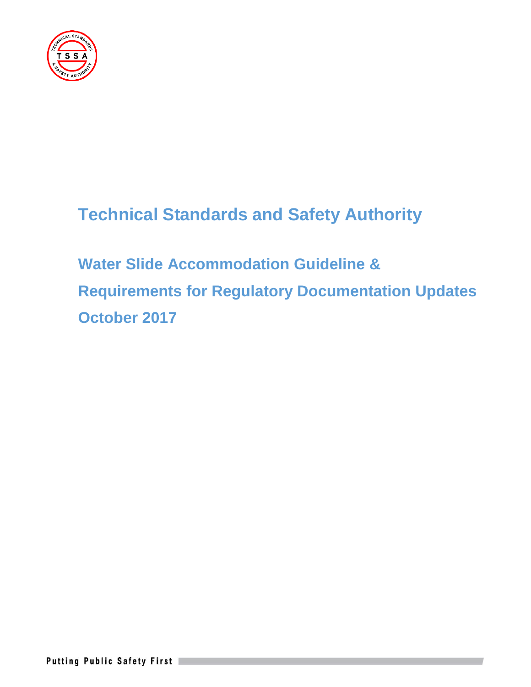

# **Technical Standards and Safety Authority**

**Water Slide Accommodation Guideline & Requirements for Regulatory Documentation Updates October 2017**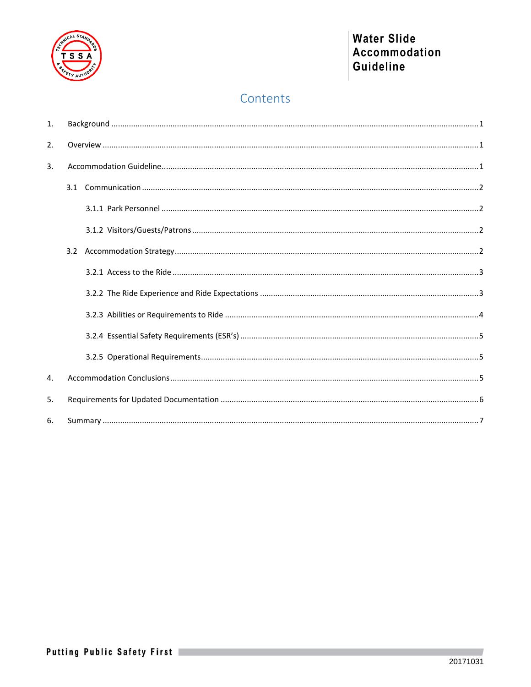

# Contents

| $\mathbf{1}$ .   |  |  |  |  |  |
|------------------|--|--|--|--|--|
| 2.               |  |  |  |  |  |
| $\overline{3}$ . |  |  |  |  |  |
|                  |  |  |  |  |  |
|                  |  |  |  |  |  |
|                  |  |  |  |  |  |
|                  |  |  |  |  |  |
|                  |  |  |  |  |  |
|                  |  |  |  |  |  |
|                  |  |  |  |  |  |
|                  |  |  |  |  |  |
|                  |  |  |  |  |  |
| 4.               |  |  |  |  |  |
| 5.               |  |  |  |  |  |
| 6.               |  |  |  |  |  |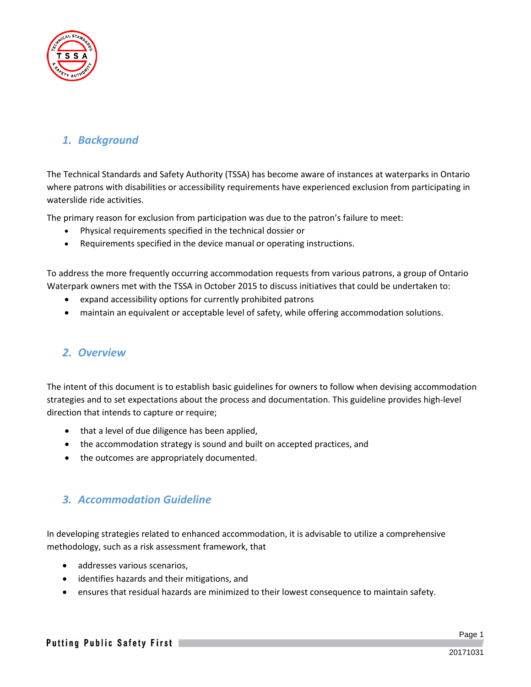

## <span id="page-2-0"></span>*1. Background*

The Technical Standards and Safety Authority (TSSA) has become aware of instances at waterparks in Ontario where patrons with disabilities or accessibility requirements have experienced exclusion from participating in waterslide ride activities.

The primary reason for exclusion from participation was due to the patron's failure to meet:

- Physical requirements specified in the technical dossier or
- Requirements specified in the device manual or operating instructions.

To address the more frequently occurring accommodation requests from various patrons, a group of Ontario Waterpark owners met with the TSSA in October 2015 to discuss initiatives that could be undertaken to:

- expand accessibility options for currently prohibited patrons
- maintain an equivalent or acceptable level of safety, while offering accommodation solutions.

### <span id="page-2-1"></span>*2. Overview*

The intent of this document is to establish basic guidelines for owners to follow when devising accommodation strategies and to set expectations about the process and documentation. This guideline provides high-level direction that intends to capture or require;

- that a level of due diligence has been applied,
- the accommodation strategy is sound and built on accepted practices, and
- the outcomes are appropriately documented.

### <span id="page-2-2"></span>*3. Accommodation Guideline*

In developing strategies related to enhanced accommodation, it is advisable to utilize a comprehensive methodology, such as a risk assessment framework, that

- addresses various scenarios,
- identifies hazards and their mitigations, and
- ensures that residual hazards are minimized to their lowest consequence to maintain safety.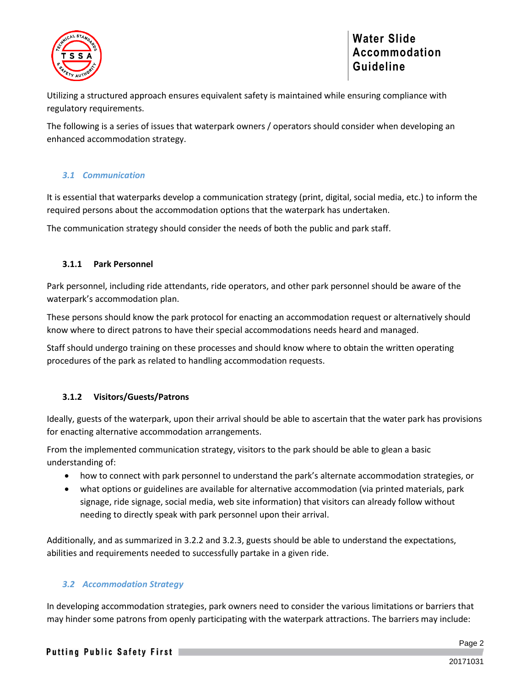

Utilizing a structured approach ensures equivalent safety is maintained while ensuring compliance with regulatory requirements.

The following is a series of issues that waterpark owners / operators should consider when developing an enhanced accommodation strategy.

#### <span id="page-3-0"></span>*3.1 Communication*

It is essential that waterparks develop a communication strategy (print, digital, social media, etc.) to inform the required persons about the accommodation options that the waterpark has undertaken.

The communication strategy should consider the needs of both the public and park staff.

#### <span id="page-3-1"></span>**3.1.1 Park Personnel**

Park personnel, including ride attendants, ride operators, and other park personnel should be aware of the waterpark's accommodation plan.

These persons should know the park protocol for enacting an accommodation request or alternatively should know where to direct patrons to have their special accommodations needs heard and managed.

Staff should undergo training on these processes and should know where to obtain the written operating procedures of the park as related to handling accommodation requests.

#### <span id="page-3-2"></span>**3.1.2 Visitors/Guests/Patrons**

Ideally, guests of the waterpark, upon their arrival should be able to ascertain that the water park has provisions for enacting alternative accommodation arrangements.

From the implemented communication strategy, visitors to the park should be able to glean a basic understanding of:

- how to connect with park personnel to understand the park's alternate accommodation strategies, or
- what options or guidelines are available for alternative accommodation (via printed materials, park signage, ride signage, social media, web site information) that visitors can already follow without needing to directly speak with park personnel upon their arrival.

Additionally, and as summarized in 3.2.2 and 3.2.3, guests should be able to understand the expectations, abilities and requirements needed to successfully partake in a given ride.

#### <span id="page-3-3"></span>*3.2 Accommodation Strategy*

In developing accommodation strategies, park owners need to consider the various limitations or barriers that may hinder some patrons from openly participating with the waterpark attractions. The barriers may include: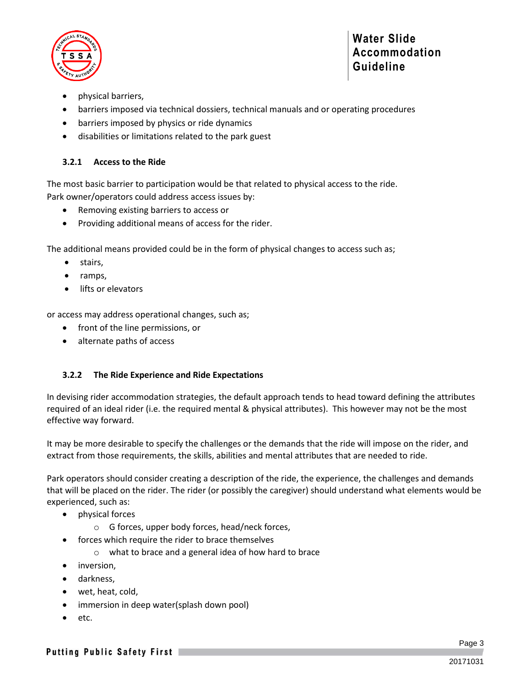

- physical barriers,
- barriers imposed via technical dossiers, technical manuals and or operating procedures
- barriers imposed by physics or ride dynamics
- disabilities or limitations related to the park guest

#### <span id="page-4-0"></span>**3.2.1 Access to the Ride**

The most basic barrier to participation would be that related to physical access to the ride. Park owner/operators could address access issues by:

- Removing existing barriers to access or
- Providing additional means of access for the rider.

The additional means provided could be in the form of physical changes to access such as;

- stairs,
- ramps,
- lifts or elevators

or access may address operational changes, such as;

- front of the line permissions, or
- alternate paths of access

#### <span id="page-4-1"></span>**3.2.2 The Ride Experience and Ride Expectations**

In devising rider accommodation strategies, the default approach tends to head toward defining the attributes required of an ideal rider (i.e. the required mental & physical attributes). This however may not be the most effective way forward.

It may be more desirable to specify the challenges or the demands that the ride will impose on the rider, and extract from those requirements, the skills, abilities and mental attributes that are needed to ride.

Park operators should consider creating a description of the ride, the experience, the challenges and demands that will be placed on the rider. The rider (or possibly the caregiver) should understand what elements would be experienced, such as:

- physical forces
	- o G forces, upper body forces, head/neck forces,
	- forces which require the rider to brace themselves
		- o what to brace and a general idea of how hard to brace
- inversion,
- darkness,
- wet, heat, cold,
- immersion in deep water(splash down pool)
- etc.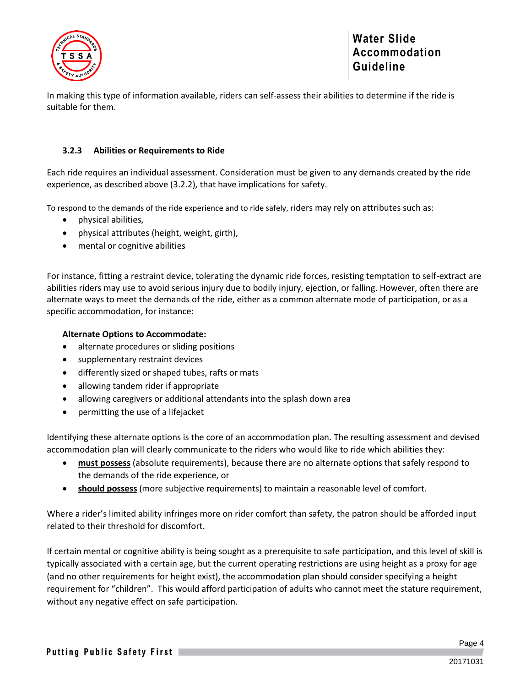

In making this type of information available, riders can self-assess their abilities to determine if the ride is suitable for them.

#### <span id="page-5-0"></span>**3.2.3 Abilities or Requirements to Ride**

Each ride requires an individual assessment. Consideration must be given to any demands created by the ride experience, as described above (3.2.2), that have implications for safety.

To respond to the demands of the ride experience and to ride safely, riders may rely on attributes such as:

- physical abilities,
- physical attributes (height, weight, girth),
- mental or cognitive abilities

For instance, fitting a restraint device, tolerating the dynamic ride forces, resisting temptation to self-extract are abilities riders may use to avoid serious injury due to bodily injury, ejection, or falling. However, often there are alternate ways to meet the demands of the ride, either as a common alternate mode of participation, or as a specific accommodation, for instance:

#### **Alternate Options to Accommodate:**

- alternate procedures or sliding positions
- supplementary restraint devices
- differently sized or shaped tubes, rafts or mats
- allowing tandem rider if appropriate
- allowing caregivers or additional attendants into the splash down area
- permitting the use of a lifejacket

Identifying these alternate options is the core of an accommodation plan. The resulting assessment and devised accommodation plan will clearly communicate to the riders who would like to ride which abilities they:

- **must possess** (absolute requirements), because there are no alternate options that safely respond to the demands of the ride experience, or
- **should possess** (more subjective requirements) to maintain a reasonable level of comfort.

Where a rider's limited ability infringes more on rider comfort than safety, the patron should be afforded input related to their threshold for discomfort.

If certain mental or cognitive ability is being sought as a prerequisite to safe participation, and this level of skill is typically associated with a certain age, but the current operating restrictions are using height as a proxy for age (and no other requirements for height exist), the accommodation plan should consider specifying a height requirement for "children". This would afford participation of adults who cannot meet the stature requirement, without any negative effect on safe participation.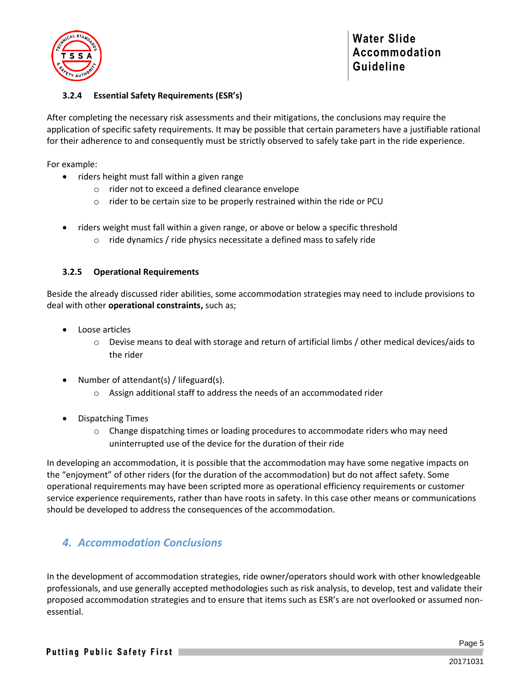

#### <span id="page-6-0"></span>**3.2.4 Essential Safety Requirements (ESR's)**

After completing the necessary risk assessments and their mitigations, the conclusions may require the application of specific safety requirements. It may be possible that certain parameters have a justifiable rational for their adherence to and consequently must be strictly observed to safely take part in the ride experience.

For example:

- riders height must fall within a given range
	- o rider not to exceed a defined clearance envelope
	- o rider to be certain size to be properly restrained within the ride or PCU
- riders weight must fall within a given range, or above or below a specific threshold
	- $\circ$  ride dynamics / ride physics necessitate a defined mass to safely ride

#### <span id="page-6-1"></span>**3.2.5 Operational Requirements**

Beside the already discussed rider abilities, some accommodation strategies may need to include provisions to deal with other **operational constraints,** such as;

- Loose articles
	- $\circ$  Devise means to deal with storage and return of artificial limbs / other medical devices/aids to the rider
- Number of attendant(s) / lifeguard(s).
	- o Assign additional staff to address the needs of an accommodated rider
- Dispatching Times
	- $\circ$  Change dispatching times or loading procedures to accommodate riders who may need uninterrupted use of the device for the duration of their ride

In developing an accommodation, it is possible that the accommodation may have some negative impacts on the "enjoyment" of other riders (for the duration of the accommodation) but do not affect safety. Some operational requirements may have been scripted more as operational efficiency requirements or customer service experience requirements, rather than have roots in safety. In this case other means or communications should be developed to address the consequences of the accommodation.

### <span id="page-6-2"></span>*4. Accommodation Conclusions*

In the development of accommodation strategies, ride owner/operators should work with other knowledgeable professionals, and use generally accepted methodologies such as risk analysis, to develop, test and validate their proposed accommodation strategies and to ensure that items such as ESR's are not overlooked or assumed nonessential.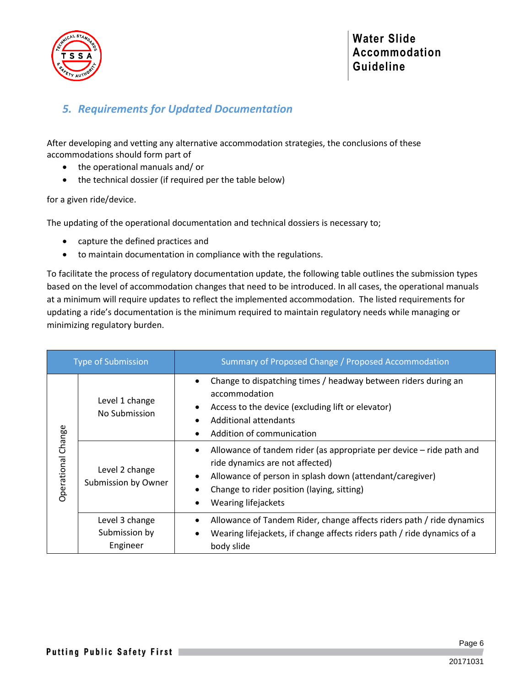

# <span id="page-7-0"></span>*5. Requirements for Updated Documentation*

After developing and vetting any alternative accommodation strategies, the conclusions of these accommodations should form part of

- the operational manuals and/ or
- the technical dossier (if required per the table below)

for a given ride/device.

The updating of the operational documentation and technical dossiers is necessary to;

- capture the defined practices and
- to maintain documentation in compliance with the regulations.

To facilitate the process of regulatory documentation update, the following table outlines the submission types based on the level of accommodation changes that need to be introduced. In all cases, the operational manuals at a minimum will require updates to reflect the implemented accommodation. The listed requirements for updating a ride's documentation is the minimum required to maintain regulatory needs while managing or minimizing regulatory burden.

| <b>Type of Submission</b> |                                             | Summary of Proposed Change / Proposed Accommodation                                                                                                                                                                                      |
|---------------------------|---------------------------------------------|------------------------------------------------------------------------------------------------------------------------------------------------------------------------------------------------------------------------------------------|
| Operational Change        | Level 1 change<br>No Submission             | Change to dispatching times / headway between riders during an<br>accommodation<br>Access to the device (excluding lift or elevator)<br>Additional attendants<br>Addition of communication                                               |
|                           | Level 2 change<br>Submission by Owner       | Allowance of tandem rider (as appropriate per device – ride path and<br>ride dynamics are not affected)<br>Allowance of person in splash down (attendant/caregiver)<br>Change to rider position (laying, sitting)<br>Wearing lifejackets |
|                           | Level 3 change<br>Submission by<br>Engineer | Allowance of Tandem Rider, change affects riders path / ride dynamics<br>Wearing lifejackets, if change affects riders path / ride dynamics of a<br>body slide                                                                           |